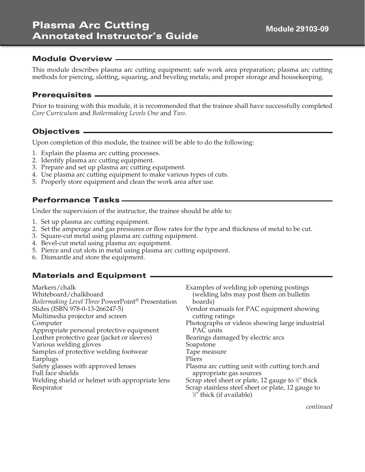# Plasma Arc Cutting Annotated Instructor's Guide

#### Module Overview

This module describes plasma arc cutting equipment; safe work area preparation; plasma arc cutting methods for piercing, slotting, squaring, and beveling metals; and proper storage and housekeeping.

#### Prerequisites

Prior to training with this module, it is recommended that the trainee shall have successfully completed *Core Curriculum* and *Boilermaking Levels One* and *Two*.

## Objectives —

Upon completion of this module, the trainee will be able to do the following:

- 1. Explain the plasma arc cutting processes.
- 2. Identify plasma arc cutting equipment.
- 3. Prepare and set up plasma arc cutting equipment.
- 4. Use plasma arc cutting equipment to make various types of cuts.
- 5. Properly store equipment and clean the work area after use.

#### Performance Tasks

Under the supervision of the instructor, the trainee should be able to:

- 1. Set up plasma arc cutting equipment.
- 2. Set the amperage and gas pressures or flow rates for the type and thickness of metal to be cut.
- 3. Square-cut metal using plasma arc cutting equipment.
- 4. Bevel-cut metal using plasma arc equipment.
- 5. Pierce and cut slots in metal using plasma arc cutting equipment.
- 6. Dismantle and store the equipment.

#### Materials and Equipment

| Markers/chalk<br>Whiteboard/chalkboard<br>Boilermaking Level Three PowerPoint® Presentation<br>Slides (ISBN 978-0-13-266247-5)<br>Multimedia projector and screen | Examples of welding job opening postings<br>(welding labs may post them on bulletin<br>boards)<br>Vendor manuals for PAC equipment showing<br>cutting ratings |
|-------------------------------------------------------------------------------------------------------------------------------------------------------------------|---------------------------------------------------------------------------------------------------------------------------------------------------------------|
| Computer                                                                                                                                                          | Photographs or videos showing large industrial                                                                                                                |
| Appropriate personal protective equipment                                                                                                                         | PAC units                                                                                                                                                     |
| Leather protective gear (jacket or sleeves)                                                                                                                       | Bearings damaged by electric arcs                                                                                                                             |
| Various welding gloves                                                                                                                                            | Soapstone                                                                                                                                                     |
| Samples of protective welding footwear                                                                                                                            | Tape measure                                                                                                                                                  |
| Earplugs                                                                                                                                                          | Pliers                                                                                                                                                        |
| Safety glasses with approved lenses<br>Full face shields                                                                                                          | Plasma arc cutting unit with cutting torch and<br>appropriate gas sources                                                                                     |
| Welding shield or helmet with appropriate lens                                                                                                                    | Scrap steel sheet or plate, 12 gauge to $\frac{1}{2}$ " thick                                                                                                 |
| Respirator                                                                                                                                                        | Scrap stainless steel sheet or plate, 12 gauge to<br>$\frac{1}{2}$ " thick (if available)                                                                     |

*continued*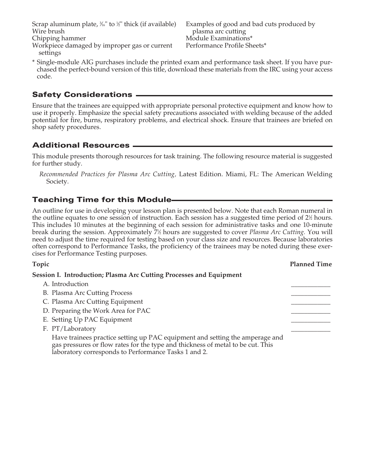Scrap aluminum plate,  $\frac{3}{6}$ " to  $\frac{1}{2}$ " thick (if available) Wire brush

Chipping hammer

Workpiece damaged by improper gas or current settings

Examples of good and bad cuts produced by plasma arc cutting Module Examinations\* Performance Profile Sheets\*

\* Single-module AIG purchases include the printed exam and performance task sheet. If you have purchased the perfect-bound version of this title, download these materials from the IRC using your access code.

## Safety Considerations

Ensure that the trainees are equipped with appropriate personal protective equipment and know how to use it properly. Emphasize the special safety precautions associated with welding because of the added potential for fire, burns, respiratory problems, and electrical shock. Ensure that trainees are briefed on shop safety procedures.

#### Additional Resources

This module presents thorough resources for task training. The following resource material is suggested for further study.

*Recommended Practices for Plasma Arc Cutting,* Latest Edition. Miami, FL: The American Welding Society.

## Teaching Time for this Module

An outline for use in developing your lesson plan is presented below. Note that each Roman numeral in the outline equates to one session of instruction. Each session has a suggested time period of  $2\frac{1}{2}$  hours. This includes 10 minutes at the beginning of each session for administrative tasks and one 10-minute break during the session. Approximately 71 ⁄2 hours are suggested to cover *Plasma Arc Cutting.* You will need to adjust the time required for testing based on your class size and resources. Because laboratories often correspond to Performance Tasks, the proficiency of the trainees may be noted during these exercises for Performance Testing purposes.

**Topic Planned Time Session I. Introduction; Plasma Arc Cutting Processes and Equipment** A. Introduction B. Plasma Arc Cutting Process C. Plasma Arc Cutting Equipment D. Preparing the Work Area for PAC E. Setting Up PAC Equipment F. PT/Laboratory Have trainees practice setting up PAC equipment and setting the amperage and gas pressures or flow rates for the type and thickness of metal to be cut. This laboratory corresponds to Performance Tasks 1 and 2.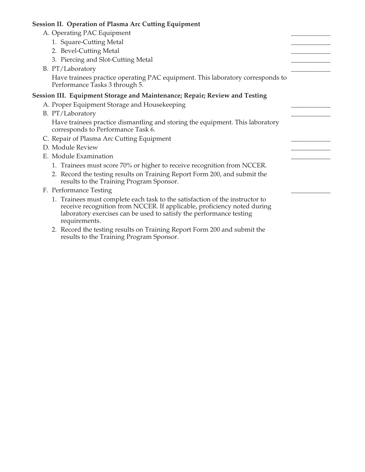#### **Session II. Operation of Plasma Arc Cutting Equipment**

- A. Operating PAC Equipment
	- 1. Square-Cutting Metal
	- 2. Bevel-Cutting Metal
	- 3. Piercing and Slot-Cutting Metal
- B. PT/Laboratory

 Have trainees practice operating PAC equipment. This laboratory corresponds to Performance Tasks 3 through 5.

#### **Session III. Equipment Storage and Maintenance; Repair; Review and Testing**

- A. Proper Equipment Storage and Housekeeping
- B. PT/Laboratory

 Have trainees practice dismantling and storing the equipment. This laboratory corresponds to Performance Task 6.

- C. Repair of Plasma Arc Cutting Equipment
- D. Module Review
- E. Module Examination
	- 1. Trainees must score 70% or higher to receive recognition from NCCER.
	- 2. Record the testing results on Training Report Form 200, and submit the results to the Training Program Sponsor.
- F. Performance Testing
	- 1. Trainees must complete each task to the satisfaction of the instructor to receive recognition from NCCER. If applicable, proficiency noted during laboratory exercises can be used to satisfy the performance testing requirements.
	- 2. Record the testing results on Training Report Form 200 and submit the results to the Training Program Sponsor.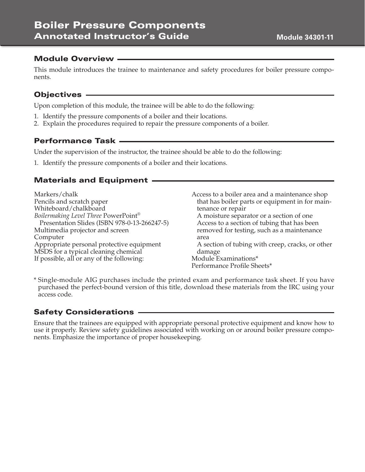#### **Module 34301-11**

#### Module Overview

This module introduces the trainee to maintenance and safety procedures for boiler pressure components.

#### Objectives

Upon completion of this module, the trainee will be able to do the following:

- 1. Identify the pressure components of a boiler and their locations.
- 2. Explain the procedures required to repair the pressure components of a boiler.

#### Performance Task

Under the supervision of the instructor, the trainee should be able to do the following:

1. Identify the pressure components of a boiler and their locations.

#### Materials and Equipment

Markers/chalk Pencils and scratch paper Whiteboard/chalkboard *Boilermaking Level Three* PowerPoint® Presentation Slides (ISBN 978-0-13-266247-5) Multimedia projector and screen Computer Appropriate personal protective equipment MSDS for a typical cleaning chemical If possible, all or any of the following:

Access to a boiler area and a maintenance shop that has boiler parts or equipment in for maintenance or repair A moisture separator or a section of one Access to a section of tubing that has been removed for testing, such as a maintenance area A section of tubing with creep, cracks, or other damage Module Examinations\* Performance Profile Sheets\*

\* Single-module AIG purchases include the printed exam and performance task sheet. If you have purchased the perfect-bound version of this title, download these materials from the IRC using your access code.

#### Safety Considerations

Ensure that the trainees are equipped with appropriate personal protective equipment and know how to use it properly. Review safety guidelines associated with working on or around boiler pressure components. Emphasize the importance of proper housekeeping.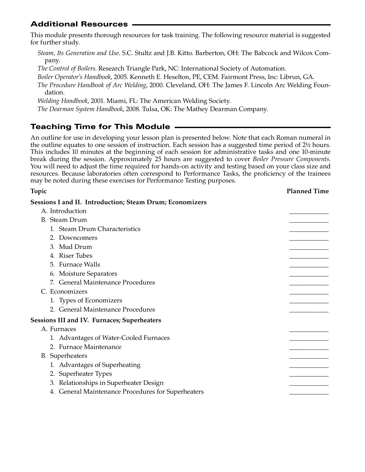# Additional Resources

This module presents thorough resources for task training. The following resource material is suggested for further study.

*Steam, Its Generation and Use*. S.C. Stultz and J.B. Kitto. Barberton, OH: The Babcock and Wilcox Company.

*The Control of Boilers*. Research Triangle Park, NC: International Society of Automation.

*Boiler Operator's Handbook*, 2005. Kenneth E. Heselton, PE, CEM. Fairmont Press, Inc: Librun, GA.

*The Procedure Handbook of Arc Welding*, 2000. Cleveland, OH: The James F. Lincoln Arc Welding Foundation.

*Welding Handbook*, 2001. Miami, FL: The American Welding Society.

*The Dearman System Handbook*, 2008. Tulsa, OK: The Mathey Dearman Company.

# Teaching Time for This Module

An outline for use in developing your lesson plan is presented below. Note that each Roman numeral in the outline equates to one session of instruction. Each session has a suggested time period of 2½ hours. This includes 10 minutes at the beginning of each session for administrative tasks and one 10-minute break during the session. Approximately 25 hours are suggested to cover *Boiler Pressure Components*. You will need to adjust the time required for hands-on activity and testing based on your class size and resources. Because laboratories often correspond to Performance Tasks, the proficiency of the trainees may be noted during these exercises for Performance Testing purposes.

| Topic                                                           | <b>Planned Time</b> |
|-----------------------------------------------------------------|---------------------|
| <b>Sessions I and II. Introduction; Steam Drum; Economizers</b> |                     |
| A. Introduction                                                 |                     |
| <b>B.</b> Steam Drum                                            |                     |
| 1. Steam Drum Characteristics                                   |                     |
| 2. Downcomers                                                   |                     |
| 3. Mud Drum                                                     |                     |
| 4. Riser Tubes                                                  |                     |
| 5. Furnace Walls                                                |                     |
| 6. Moisture Separators                                          |                     |
| 7. General Maintenance Procedures                               |                     |
| C. Economizers                                                  |                     |
| 1. Types of Economizers                                         |                     |
| 2. General Maintenance Procedures                               |                     |
| <b>Sessions III and IV. Furnaces; Superheaters</b>              |                     |
| A. Furnaces                                                     |                     |
| 1. Advantages of Water-Cooled Furnaces                          |                     |
| 2. Furnace Maintenance                                          |                     |
| <b>B.</b> Superheaters                                          |                     |
| 1. Advantages of Superheating                                   |                     |
| 2. Superheater Types                                            |                     |
| 3. Relationships in Superheater Design                          |                     |
| 4. General Maintenance Procedures for Superheaters              |                     |
|                                                                 |                     |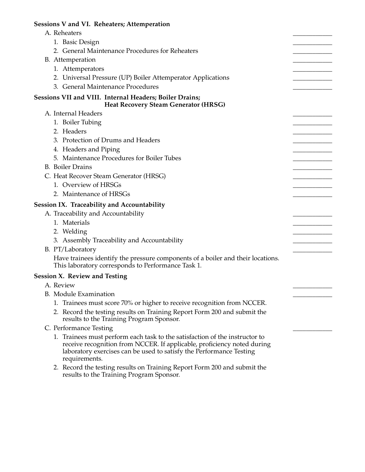# **Sessions V and VI. Reheaters; Attemperation**

| A. Reheaters                                                                                                                                                                                                                                   |  |
|------------------------------------------------------------------------------------------------------------------------------------------------------------------------------------------------------------------------------------------------|--|
| 1. Basic Design                                                                                                                                                                                                                                |  |
| 2. General Maintenance Procedures for Reheaters                                                                                                                                                                                                |  |
| B. Attemperation                                                                                                                                                                                                                               |  |
| 1. Attemperators                                                                                                                                                                                                                               |  |
| 2. Universal Pressure (UP) Boiler Attemperator Applications                                                                                                                                                                                    |  |
| 3. General Maintenance Procedures                                                                                                                                                                                                              |  |
| Sessions VII and VIII. Internal Headers; Boiler Drains;<br><b>Heat Recovery Steam Generator (HRSG)</b>                                                                                                                                         |  |
| A. Internal Headers                                                                                                                                                                                                                            |  |
| 1. Boiler Tubing                                                                                                                                                                                                                               |  |
| 2. Headers                                                                                                                                                                                                                                     |  |
| 3. Protection of Drums and Headers                                                                                                                                                                                                             |  |
| 4. Headers and Piping                                                                                                                                                                                                                          |  |
| 5. Maintenance Procedures for Boiler Tubes                                                                                                                                                                                                     |  |
| <b>B.</b> Boiler Drains                                                                                                                                                                                                                        |  |
| C. Heat Recover Steam Generator (HRSG)                                                                                                                                                                                                         |  |
| 1. Overview of HRSGs                                                                                                                                                                                                                           |  |
| 2. Maintenance of HRSGs                                                                                                                                                                                                                        |  |
| <b>Session IX. Traceability and Accountability</b>                                                                                                                                                                                             |  |
| A. Traceability and Accountability                                                                                                                                                                                                             |  |
| 1. Materials                                                                                                                                                                                                                                   |  |
| 2. Welding                                                                                                                                                                                                                                     |  |
| 3. Assembly Traceability and Accountability                                                                                                                                                                                                    |  |
| B. PT/Laboratory                                                                                                                                                                                                                               |  |
| Have trainees identify the pressure components of a boiler and their locations.<br>This laboratory corresponds to Performance Task 1.                                                                                                          |  |
| <b>Session X. Review and Testing</b>                                                                                                                                                                                                           |  |
| A. Review                                                                                                                                                                                                                                      |  |
| B. Module Examination                                                                                                                                                                                                                          |  |
| 1. Trainees must score 70% or higher to receive recognition from NCCER.                                                                                                                                                                        |  |
| 2. Record the testing results on Training Report Form 200 and submit the<br>results to the Training Program Sponsor.                                                                                                                           |  |
| C. Performance Testing                                                                                                                                                                                                                         |  |
| 1. Trainees must perform each task to the satisfaction of the instructor to<br>receive recognition from NCCER. If applicable, proficiency noted during<br>laboratory exercises can be used to satisfy the Performance Testing<br>requirements. |  |
| 2. Record the testing results on Training Report Form 200 and submit the<br>results to the Training Program Sponsor.                                                                                                                           |  |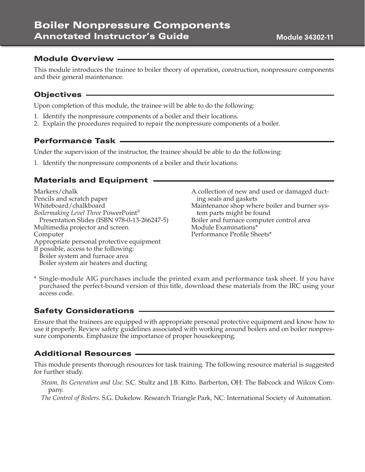#### **Module 34302-11**

#### Module Overview

This module introduces the trainee to boiler theory of operation, construction, nonpressure components and their general maintenance.

#### Objectives

Upon completion of this module, the trainee will be able to do the following:

- 1. Identify the nonpressure components of a boiler and their locations.
- 2. Explain the procedures required to repair the nonpressure components of a boiler.

#### Performance Task

Under the supervision of the instructor, the trainee should be able to do the following:

1. Identify the nonpressure components of a boiler and their locations.

#### Materials and Equipment

Markers/chalk Pencils and scratch paper Whiteboard/chalkboard *Boilermaking Level Three* PowerPoint® Presentation Slides (ISBN 978-0-13-266247-5) Multimedia projector and screen Computer Appropriate personal protective equipment If possible, access to the following: Boiler system and furnace area Boiler system air heaters and ducting

A collection of new and used or damaged ducting seals and gaskets Maintenance shop where boiler and burner system parts might be found Boiler and furnace computer control area Module Examinations\* Performance Profile Sheets\*

\* Single-module AIG purchases include the printed exam and performance task sheet. If you have purchased the perfect-bound version of this title, download these materials from the IRC using your access code.

#### Safety Considerations

Ensure that the trainees are equipped with appropriate personal protective equipment and know how to use it properly. Review safety guidelines associated with working around boilers and on boiler nonpressure components. Emphasize the importance of proper housekeeping.

#### Additional Resources

This module presents thorough resources for task training. The following resource material is suggested for further study.

*Steam, Its Generation and Use*. S.C. Stultz and J.B. Kitto. Barberton, OH: The Babcock and Wilcox Company.

*The Control of Boilers*. S.G. Dukelow. Research Triangle Park, NC: International Society of Automation.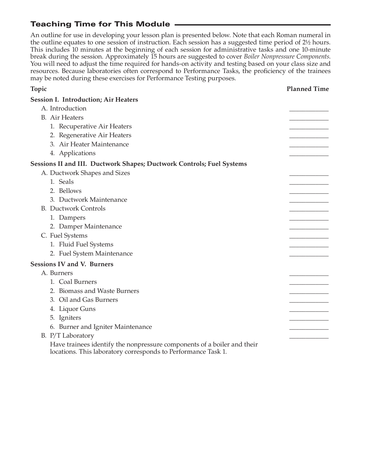# Teaching Time for This Module

An outline for use in developing your lesson plan is presented below. Note that each Roman numeral in the outline equates to one session of instruction. Each session has a suggested time period of 2½ hours. This includes 10 minutes at the beginning of each session for administrative tasks and one 10-minute break during the session. Approximately 15 hours are suggested to cover *Boiler Nonpressure Components*. You will need to adjust the time required for hands-on activity and testing based on your class size and resources. Because laboratories often correspond to Performance Tasks, the proficiency of the trainees may be noted during these exercises for Performance Testing purposes.

**Topic Planned Time**

| <b>Session I. Introduction; Air Heaters</b>                                                                                              |  |
|------------------------------------------------------------------------------------------------------------------------------------------|--|
| A. Introduction                                                                                                                          |  |
| <b>B.</b> Air Heaters                                                                                                                    |  |
| 1. Recuperative Air Heaters                                                                                                              |  |
| 2. Regenerative Air Heaters                                                                                                              |  |
| 3. Air Heater Maintenance                                                                                                                |  |
| 4. Applications                                                                                                                          |  |
| Sessions II and III. Ductwork Shapes; Ductwork Controls; Fuel Systems                                                                    |  |
| A. Ductwork Shapes and Sizes                                                                                                             |  |
| 1. Seals                                                                                                                                 |  |
| 2. Bellows                                                                                                                               |  |
| 3. Ductwork Maintenance                                                                                                                  |  |
| <b>B.</b> Ductwork Controls                                                                                                              |  |
| 1. Dampers                                                                                                                               |  |
| 2. Damper Maintenance                                                                                                                    |  |
| C. Fuel Systems                                                                                                                          |  |
| 1. Fluid Fuel Systems                                                                                                                    |  |
| 2. Fuel System Maintenance                                                                                                               |  |
| <b>Sessions IV and V. Burners</b>                                                                                                        |  |
| A. Burners                                                                                                                               |  |
| 1. Coal Burners                                                                                                                          |  |
| 2. Biomass and Waste Burners                                                                                                             |  |
| 3. Oil and Gas Burners                                                                                                                   |  |
| 4. Liquor Guns                                                                                                                           |  |
| 5. Igniters                                                                                                                              |  |
| 6. Burner and Igniter Maintenance                                                                                                        |  |
| B. P/T Laboratory                                                                                                                        |  |
| Have trainees identify the nonpressure components of a boiler and their<br>locations. This laboratory corresponds to Performance Task 1. |  |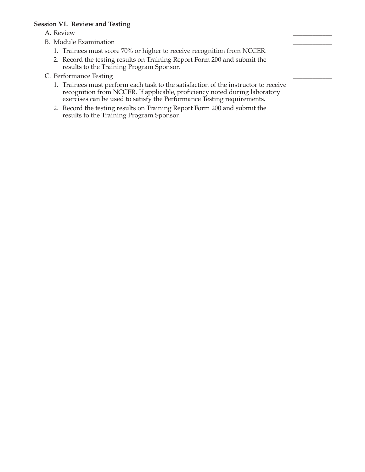#### **Session VI. Review and Testing**

- A. Review \_\_\_\_\_\_\_\_\_\_\_\_
- B. Module Examination
	- 1. Trainees must score 70% or higher to receive recognition from NCCER.
	- 2. Record the testing results on Training Report Form 200 and submit the results to the Training Program Sponsor.
- C. Performance Testing
	- 1. Trainees must perform each task to the satisfaction of the instructor to receive recognition from NCCER. If applicable, proficiency noted during laboratory exercises can be used to satisfy the Performance Testing requirements.
	- 2. Record the testing results on Training Report Form 200 and submit the results to the Training Program Sponsor.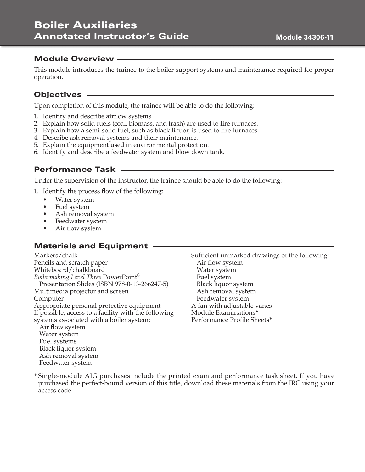#### Module Overview

This module introduces the trainee to the boiler support systems and maintenance required for proper operation.

#### Objectives

Upon completion of this module, the trainee will be able to do the following:

- 1. Identify and describe airflow systems.
- 2. Explain how solid fuels (coal, biomass, and trash) are used to fire furnaces.
- 3. Explain how a semi-solid fuel, such as black liquor, is used to fire furnaces.
- 4. Describe ash removal systems and their maintenance.
- 5. Explain the equipment used in environmental protection.
- 6. Identify and describe a feedwater system and blow down tank.

#### Performance Task

Under the supervision of the instructor, the trainee should be able to do the following:

- 1. Identify the process flow of the following:
	- Water system
	- Fuel system
	- Ash removal system
	- Feedwater system
	- Air flow system

#### Materials and Equipment .

Markers/chalk Pencils and scratch paper Whiteboard/chalkboard *Boilermaking Level Three* PowerPoint® Presentation Slides (ISBN 978-0-13-266247-5) Multimedia projector and screen Computer Appropriate personal protective equipment If possible, access to a facility with the following systems associated with a boiler system: Air flow system

Water system Fuel systems Black liquor system Ash removal system Feedwater system

Sufficient unmarked drawings of the following: Air flow system Water system Fuel system Black liquor system Ash removal system Feedwater system A fan with adjustable vanes Module Examinations\* Performance Profile Sheets\*

\* Single-module AIG purchases include the printed exam and performance task sheet. If you have purchased the perfect-bound version of this title, download these materials from the IRC using your access code.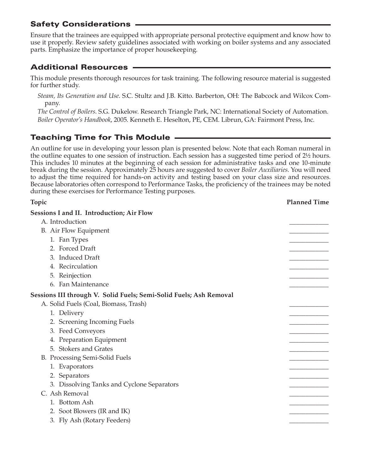## Safety Considerations

Ensure that the trainees are equipped with appropriate personal protective equipment and know how to use it properly. Review safety guidelines associated with working on boiler systems and any associated parts. Emphasize the importance of proper housekeeping.

# Additional Resources

This module presents thorough resources for task training. The following resource material is suggested for further study.

*Steam, Its Generation and Use*. S.C. Stultz and J.B. Kitto. Barberton, OH: The Babcock and Wilcox Company.

*The Control of Boilers*. S.G. Dukelow. Research Triangle Park, NC: International Society of Automation. *Boiler Operator's Handbook*, 2005. Kenneth E. Heselton, PE, CEM. Librun, GA: Fairmont Press, Inc.

# Teaching Time for This Module

An outline for use in developing your lesson plan is presented below. Note that each Roman numeral in the outline equates to one session of instruction. Each session has a suggested time period of 2½ hours. This includes 10 minutes at the beginning of each session for administrative tasks and one 10-minute break during the session. Approximately 25 hours are suggested to cover *Boiler Auxiliaries*. You will need to adjust the time required for hands-on activity and testing based on your class size and resources. Because laboratories often correspond to Performance Tasks, the proficiency of the trainees may be noted during these exercises for Performance Testing purposes.

| Topic                                                              | <b>Planned Time</b> |
|--------------------------------------------------------------------|---------------------|
| <b>Sessions I and II. Introduction; Air Flow</b>                   |                     |
| A. Introduction                                                    |                     |
| B. Air Flow Equipment                                              |                     |
| 1. Fan Types                                                       |                     |
| 2. Forced Draft                                                    |                     |
| 3. Induced Draft                                                   |                     |
| 4. Recirculation                                                   |                     |
| 5. Reinjection                                                     |                     |
| 6. Fan Maintenance                                                 |                     |
| Sessions III through V. Solid Fuels; Semi-Solid Fuels; Ash Removal |                     |
| A. Solid Fuels (Coal, Biomass, Trash)                              |                     |
| 1. Delivery                                                        |                     |
| 2. Screening Incoming Fuels                                        |                     |
| 3. Feed Conveyors                                                  |                     |
| 4. Preparation Equipment                                           |                     |
| 5. Stokers and Grates                                              |                     |
| B. Processing Semi-Solid Fuels                                     |                     |
| 1. Evaporators                                                     |                     |
| 2. Separators                                                      |                     |
| 3. Dissolving Tanks and Cyclone Separators                         |                     |
| C. Ash Removal                                                     |                     |
| 1. Bottom Ash                                                      |                     |
| 2. Soot Blowers (IR and IK)                                        |                     |
| 3. Fly Ash (Rotary Feeders)                                        |                     |
|                                                                    |                     |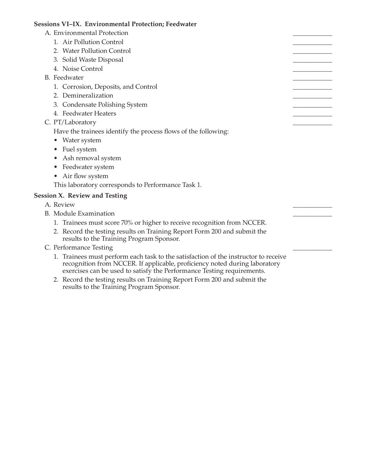#### **Sessions VI–IX. Environmental Protection; Feedwater**

- A. Environmental Protection
	- 1. Air Pollution Control
	- 2. Water Pollution Control
	- 3. Solid Waste Disposal
	- 4. Noise Control
- B. Feedwater
	- 1. Corrosion, Deposits, and Control
	- 2. Demineralization
	- 3. Condensate Polishing System
	- 4. Feedwater Heaters
- C. PT/Laboratory

Have the trainees identify the process flows of the following:

- Water system
- Fuel system
- Ash removal system
- Feedwater system
- Air flow system

This laboratory corresponds to Performance Task 1.

#### **Session X. Review and Testing**

- A. Review \_\_\_\_\_\_\_\_\_\_\_\_
- B. Module Examination
	- 1. Trainees must score 70% or higher to receive recognition from NCCER.
	- 2. Record the testing results on Training Report Form 200 and submit the results to the Training Program Sponsor.
- C. Performance Testing
	- 1. Trainees must perform each task to the satisfaction of the instructor to receive recognition from NCCER. If applicable, proficiency noted during laboratory exercises can be used to satisfy the Performance Testing requirements.
	- 2. Record the testing results on Training Report Form 200 and submit the results to the Training Program Sponsor.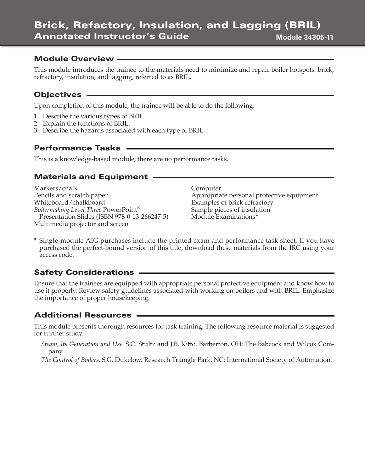#### Module Overview

This module introduces the trainee to the materials need to minimize and repair boiler hotspots: brick, refractory, insulation, and lagging, referred to as BRIL.

## Objectives

Upon completion of this module, the trainee will be able to do the following:

- 1. Describe the various types of BRIL.
- 2. Explain the functions of BRIL.
- 3. Describe the hazards associated with each type of BRIL.

## Performance Tasks

This is a knowledge-based module; there are no performance tasks.

## Materials and Equipment

Markers/chalk Pencils and scratch paper Whiteboard/chalkboard *Boilermaking Level Three* PowerPoint® Presentation Slides (ISBN 978-0-13-266247-5) Multimedia projector and screen

Computer Appropriate personal protective equipment Examples of brick refractory Sample pieces of insulation Module Examinations\*

\* Single-module AIG purchases include the printed exam and performance task sheet. If you have purchased the perfect-bound version of this title, download these materials from the IRC using your access code.

## Safety Considerations

Ensure that the trainees are equipped with appropriate personal protective equipment and know how to use it properly. Review safety guidelines associated with working on boilers and with BRIL. Emphasize the importance of proper housekeeping.

#### Additional Resources

This module presents thorough resources for task training. The following resource material is suggested for further study.

*Steam, Its Generation and Use*. S.C. Stultz and J.B. Kitto. Barberton, OH: The Babcock and Wilcox Company.

*The Control of Boilers*. S.G. Dukelow. Research Triangle Park, NC: International Society of Automation.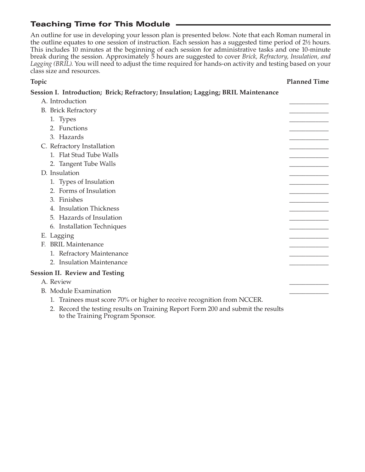# Teaching Time for This Module

An outline for use in developing your lesson plan is presented below. Note that each Roman numeral in the outline equates to one session of instruction. Each session has a suggested time period of 2½ hours. This includes 10 minutes at the beginning of each session for administrative tasks and one 10-minute break during the session. Approximately 5 hours are suggested to cover *Brick, Refractory, Insulation, and Lagging (BRIL)*. You will need to adjust the time required for hands-on activity and testing based on your class size and resources.

#### **Topic Planned Time**

## **Session I. Introduction; Brick; Refractory; Insulation; Lagging; BRIL Maintenance**

| A. Introduction                                                               |  |
|-------------------------------------------------------------------------------|--|
| <b>B.</b> Brick Refractory                                                    |  |
| 1. Types                                                                      |  |
| 2. Functions                                                                  |  |
| 3. Hazards                                                                    |  |
| C. Refractory Installation                                                    |  |
| 1. Flat Stud Tube Walls                                                       |  |
| 2. Tangent Tube Walls                                                         |  |
| D. Insulation                                                                 |  |
| 1. Types of Insulation                                                        |  |
| 2. Forms of Insulation                                                        |  |
| 3. Finishes                                                                   |  |
| 4. Insulation Thickness                                                       |  |
| 5. Hazards of Insulation                                                      |  |
| 6. Installation Techniques                                                    |  |
| E. Lagging                                                                    |  |
| <b>BRIL Maintenance</b><br>Е.                                                 |  |
| 1. Refractory Maintenance                                                     |  |
| 2. Insulation Maintenance                                                     |  |
| <b>Session II. Review and Testing</b>                                         |  |
| A. Review                                                                     |  |
| B. Module Examination                                                         |  |
| 1. Trainees must score 70% or higher to receive recognition from NCCER.       |  |
| Record the testing results on Training Report Form 200 and submit the results |  |

 2. Record the testing results on Training Report Form 200 and submit the results to the Training Program Sponsor.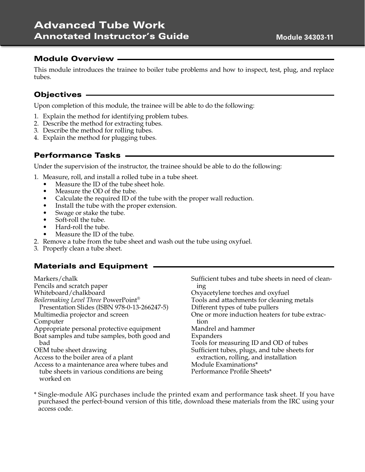#### Module Overview

This module introduces the trainee to boiler tube problems and how to inspect, test, plug, and replace tubes.

## Objectives

Upon completion of this module, the trainee will be able to do the following:

- 1. Explain the method for identifying problem tubes.
- 2. Describe the method for extracting tubes.
- 3. Describe the method for rolling tubes.
- 4. Explain the method for plugging tubes.

## Performance Tasks

Under the supervision of the instructor, the trainee should be able to do the following:

- 1. Measure, roll, and install a rolled tube in a tube sheet.
	- Measure the ID of the tube sheet hole.
	- Measure the OD of the tube.
	- Calculate the required ID of the tube with the proper wall reduction.
	- Install the tube with the proper extension.
	- Swage or stake the tube.
	- Soft-roll the tube.
	- Hard-roll the tube.
	- Measure the ID of the tube.
- 2. Remove a tube from the tube sheet and wash out the tube using oxyfuel.
- 3. Properly clean a tube sheet.

#### Materials and Equipment

| Markers/chalk                                            | Sufficient tubes and tube sheets in need of clean- |
|----------------------------------------------------------|----------------------------------------------------|
| Pencils and scratch paper                                | mg                                                 |
| Whiteboard/chalkboard                                    | Oxyacetylene torches and oxyfuel                   |
| Boilermaking Level Three PowerPoint®                     | Tools and attachments for cleaning metals          |
| Presentation Slides (ISBN 978-0-13-266247-5)             | Different types of tube pullers                    |
| Multimedia projector and screen                          | One or more induction heaters for tube extrac-     |
| Computer                                                 | tion                                               |
| Appropriate personal protective equipment                | Mandrel and hammer                                 |
| Boat samples and tube samples, both good and             | Expanders                                          |
| bad                                                      | Tools for measuring ID and OD of tubes             |
| OEM tube sheet drawing                                   | Sufficient tubes, plugs, and tube sheets for       |
| Access to the boiler area of a plant                     | extraction, rolling, and installation              |
| Access to a maintenance area where tubes and             | Module Examinations*                               |
| tube sheets in various conditions are being<br>worked on | Performance Profile Sheets*                        |

\* Single-module AIG purchases include the printed exam and performance task sheet. If you have purchased the perfect-bound version of this title, download these materials from the IRC using your access code.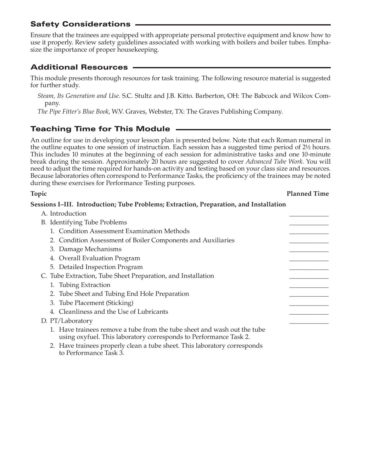## Safety Considerations

Ensure that the trainees are equipped with appropriate personal protective equipment and know how to use it properly. Review safety guidelines associated with working with boilers and boiler tubes. Emphasize the importance of proper housekeeping.

# Additional Resources

This module presents thorough resources for task training. The following resource material is suggested for further study.

*Steam, Its Generation and Use*. S.C. Stultz and J.B. Kitto. Barberton, OH: The Babcock and Wilcox Company.

*The Pipe Fitter's Blue Book*, W.V. Graves, Webster, TX: The Graves Publishing Company.

# Teaching Time for This Module

An outline for use in developing your lesson plan is presented below. Note that each Roman numeral in the outline equates to one session of instruction. Each session has a suggested time period of 2½ hours. This includes 10 minutes at the beginning of each session for administrative tasks and one 10-minute break during the session. Approximately 20 hours are suggested to cover *Advanced Tube Work*. You will need to adjust the time required for hands-on activity and testing based on your class size and resources. Because laboratories often correspond to Performance Tasks, the proficiency of the trainees may be noted during these exercises for Performance Testing purposes.

#### **Topic Planned Time**

#### **Sessions I–III. Introduction; Tube Problems; Extraction, Preparation, and Installation**

| A. Introduction                          |                                                                                                                                               |  |
|------------------------------------------|-----------------------------------------------------------------------------------------------------------------------------------------------|--|
| B. Identifying Tube Problems             |                                                                                                                                               |  |
|                                          | 1. Condition Assessment Examination Methods                                                                                                   |  |
|                                          | 2. Condition Assessment of Boiler Components and Auxiliaries                                                                                  |  |
| 3. Damage Mechanisms                     |                                                                                                                                               |  |
| 4. Overall Evaluation Program            |                                                                                                                                               |  |
| 5. Detailed Inspection Program           |                                                                                                                                               |  |
|                                          | C. Tube Extraction, Tube Sheet Preparation, and Installation                                                                                  |  |
| 1. Tubing Extraction                     |                                                                                                                                               |  |
|                                          | 2. Tube Sheet and Tubing End Hole Preparation                                                                                                 |  |
| 3. Tube Placement (Sticking)             |                                                                                                                                               |  |
| 4. Cleanliness and the Use of Lubricants |                                                                                                                                               |  |
| D. PT/Laboratory                         |                                                                                                                                               |  |
|                                          | 1. Have trainees remove a tube from the tube sheet and wash out the tube<br>using oxyfuel. This laboratory corresponds to Performance Task 2. |  |
| to Performance Task 3.                   | 2. Have trainees properly clean a tube sheet. This laboratory corresponds                                                                     |  |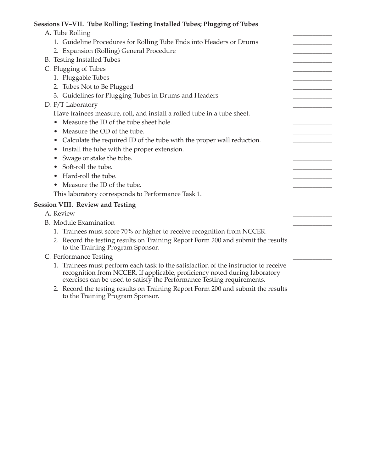#### **Sessions IV–VII. Tube Rolling; Testing Installed Tubes; Plugging of Tubes**

| A. Tube Rolling                                                                                                                                                   |  |
|-------------------------------------------------------------------------------------------------------------------------------------------------------------------|--|
| 1. Guideline Procedures for Rolling Tube Ends into Headers or Drums                                                                                               |  |
| 2. Expansion (Rolling) General Procedure                                                                                                                          |  |
| B. Testing Installed Tubes                                                                                                                                        |  |
| C. Plugging of Tubes                                                                                                                                              |  |
| 1. Pluggable Tubes                                                                                                                                                |  |
| 2. Tubes Not to Be Plugged                                                                                                                                        |  |
| 3. Guidelines for Plugging Tubes in Drums and Headers                                                                                                             |  |
| D. P/T Laboratory                                                                                                                                                 |  |
| Have trainees measure, roll, and install a rolled tube in a tube sheet.                                                                                           |  |
| Measure the ID of the tube sheet hole.                                                                                                                            |  |
| Measure the OD of the tube.                                                                                                                                       |  |
| Calculate the required ID of the tube with the proper wall reduction.<br>$\bullet$                                                                                |  |
| Install the tube with the proper extension.<br>$\bullet$                                                                                                          |  |
| Swage or stake the tube.                                                                                                                                          |  |
| Soft-roll the tube.                                                                                                                                               |  |
| Hard-roll the tube.                                                                                                                                               |  |
| • Measure the ID of the tube.                                                                                                                                     |  |
| This laboratory corresponds to Performance Task 1.                                                                                                                |  |
| <b>Session VIII. Review and Testing</b>                                                                                                                           |  |
| A. Review                                                                                                                                                         |  |
| <b>B.</b> Module Examination                                                                                                                                      |  |
| 1. Trainees must score 70% or higher to receive recognition from NCCER.                                                                                           |  |
| 2. Record the testing results on Training Report Form 200 and submit the results<br>to the Training Program Sponsor.                                              |  |
| C. Performance Testing                                                                                                                                            |  |
| 1. Trainees must perform each task to the satisfaction of the instructor to receive<br>recognition from NCCER. If applicable, proficiency noted during laboratory |  |

- exercises can be used to satisfy the Performance Testing requirements.
- 2. Record the testing results on Training Report Form 200 and submit the results to the Training Program Sponsor.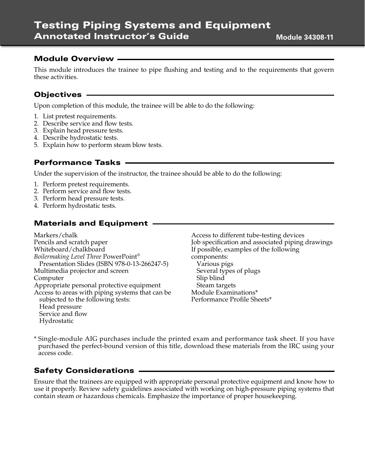# Testing Piping Systems and Equipment Annotated Instructor's Guide

#### Module Overview

This module introduces the trainee to pipe flushing and testing and to the requirements that govern these activities.

## Objectives

Upon completion of this module, the trainee will be able to do the following:

- 1. List pretest requirements.
- 2. Describe service and flow tests.
- 3. Explain head pressure tests.
- 4. Describe hydrostatic tests.
- 5. Explain how to perform steam blow tests.

#### Performance Tasks

Under the supervision of the instructor, the trainee should be able to do the following:

- 1. Perform pretest requirements.
- 2. Perform service and flow tests.
- 3. Perform head pressure tests.
- 4. Perform hydrostatic tests.

## Materials and Equipment

Markers/chalk Pencils and scratch paper Whiteboard/chalkboard *Boilermaking Level Three* PowerPoint® Presentation Slides (ISBN 978-0-13-266247-5) Multimedia projector and screen Computer Appropriate personal protective equipment Access to areas with piping systems that can be subjected to the following tests: Head pressure Service and flow Hydrostatic

Access to different tube-testing devices Job specification and associated piping drawings If possible, examples of the following components: Various pigs Several types of plugs Slip blind Steam targets Module Examinations\* Performance Profile Sheets\*

\* Single-module AIG purchases include the printed exam and performance task sheet. If you have purchased the perfect-bound version of this title, download these materials from the IRC using your access code.

#### Safety Considerations

Ensure that the trainees are equipped with appropriate personal protective equipment and know how to use it properly. Review safety guidelines associated with working on high-pressure piping systems that contain steam or hazardous chemicals. Emphasize the importance of proper housekeeping.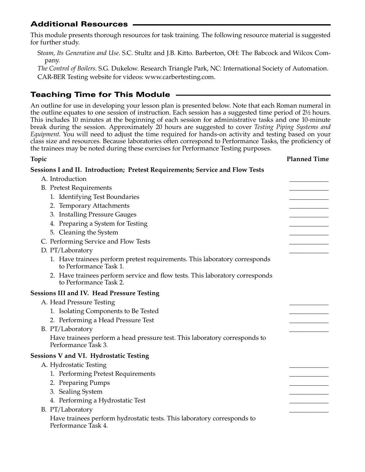## Additional Resources

This module presents thorough resources for task training. The following resource material is suggested for further study.

S*team, Its Generation and Use*. S.C. Stultz and J.B. Kitto. Barberton, OH: The Babcock and Wilcox Company.

*The Control of Boilers*. S.G. Dukelow. Research Triangle Park, NC: International Society of Automation. CAR-BER Testing website for videos: www.carbertesting.com.

# Teaching Time for This Module

An outline for use in developing your lesson plan is presented below. Note that each Roman numeral in the outline equates to one session of instruction. Each session has a suggested time period of 2½ hours. This includes 10 minutes at the beginning of each session for administrative tasks and one 10-minute break during the session. Approximately 20 hours are suggested to cover *Testing Piping Systems and Equipment*. You will need to adjust the time required for hands-on activity and testing based on your class size and resources. Because laboratories often correspond to Performance Tasks, the proficiency of the trainees may be noted during these exercises for Performance Testing purposes.

#### **Topic Planned Time**

| Sessions I and II. Introduction; Pretest Requirements; Service and Flow Tests                          |  |
|--------------------------------------------------------------------------------------------------------|--|
| A. Introduction                                                                                        |  |
| <b>B.</b> Pretest Requirements                                                                         |  |
| 1. Identifying Test Boundaries                                                                         |  |
| 2. Temporary Attachments                                                                               |  |
| 3. Installing Pressure Gauges                                                                          |  |
| 4. Preparing a System for Testing                                                                      |  |
| 5. Cleaning the System                                                                                 |  |
| C. Performing Service and Flow Tests                                                                   |  |
| D. PT/Laboratory                                                                                       |  |
| 1. Have trainees perform pretest requirements. This laboratory corresponds<br>to Performance Task 1.   |  |
| 2. Have trainees perform service and flow tests. This laboratory corresponds<br>to Performance Task 2. |  |
| Sessions III and IV. Head Pressure Testing                                                             |  |
| A. Head Pressure Testing                                                                               |  |
| 1. Isolating Components to Be Tested                                                                   |  |
| 2. Performing a Head Pressure Test                                                                     |  |
| B. PT/Laboratory                                                                                       |  |
| Have trainees perform a head pressure test. This laboratory corresponds to<br>Performance Task 3.      |  |
| Sessions V and VI. Hydrostatic Testing                                                                 |  |
| A. Hydrostatic Testing                                                                                 |  |
| 1. Performing Pretest Requirements                                                                     |  |
| 2. Preparing Pumps                                                                                     |  |
| 3. Sealing System                                                                                      |  |
| 4. Performing a Hydrostatic Test                                                                       |  |
| B. PT/Laboratory                                                                                       |  |
| Have trainees perform hydrostatic tests. This laboratory corresponds to<br>Performance Task 4.         |  |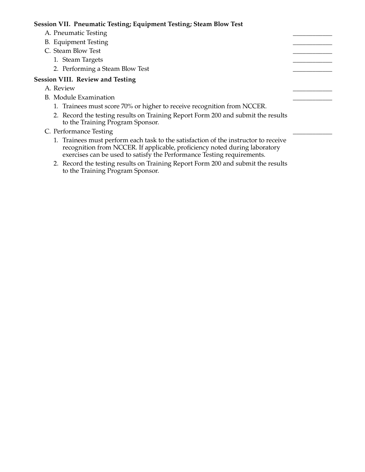#### **Session VII. Pneumatic Testing; Equipment Testing; Steam Blow Test**

- A. Pneumatic Testing
- B. Equipment Testing
- C. Steam Blow Test
	- 1. Steam Targets
	- 2. Performing a Steam Blow Test

#### **Session VIII. Review and Testing**

- A. Review \_\_\_\_\_\_\_\_\_\_\_\_
- B. Module Examination
	- 1. Trainees must score 70% or higher to receive recognition from NCCER.
	- 2. Record the testing results on Training Report Form 200 and submit the results to the Training Program Sponsor.
- C. Performance Testing
	- 1. Trainees must perform each task to the satisfaction of the instructor to receive recognition from NCCER. If applicable, proficiency noted during laboratory exercises can be used to satisfy the Performance Testing requirements.
	- 2. Record the testing results on Training Report Form 200 and submit the results to the Training Program Sponsor.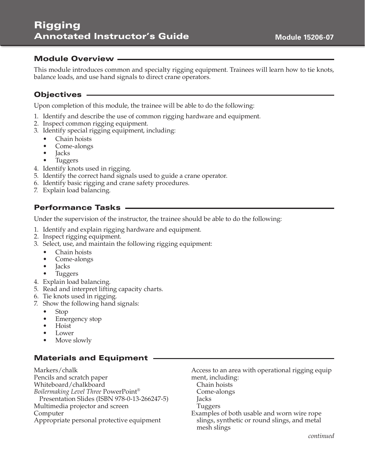## Module Overview

This module introduces common and specialty rigging equipment. Trainees will learn how to tie knots, balance loads, and use hand signals to direct crane operators.

## Objectives

Upon completion of this module, the trainee will be able to do the following:

- 1. Identify and describe the use of common rigging hardware and equipment.
- 2. Inspect common rigging equipment.
- 3. Identify special rigging equipment, including:
	- Chain hoists
	- Come-alongs
	- **Jacks**
	- **Tuggers**
- 4. Identify knots used in rigging.
- 5. Identify the correct hand signals used to guide a crane operator.
- 6. Identify basic rigging and crane safety procedures.
- 7. Explain load balancing.

# Performance Tasks

Under the supervision of the instructor, the trainee should be able to do the following:

- 1. Identify and explain rigging hardware and equipment.
- 2. Inspect rigging equipment.
- 3. Select, use, and maintain the following rigging equipment:
	- Chain hoists
	- Come-alongs
	- **Jacks**
	- Tuggers
- 4. Explain load balancing.
- 5. Read and interpret lifting capacity charts.
- 6. Tie knots used in rigging.
- 7. Show the following hand signals:
	- Stop
	- Emergency stop
	- Hoist
	- Lower
	- Move slowly

## Materials and Equipment

Markers/chalk Pencils and scratch paper Whiteboard/chalkboard *Boilermaking Level Three* PowerPoint® Presentation Slides (ISBN 978-0-13-266247-5) Multimedia projector and screen Computer Appropriate personal protective equipment

Access to an area with operational rigging equip ment, including: Chain hoists

- Come-alongs
- Jacks
- Tuggers
- Examples of both usable and worn wire rope slings, synthetic or round slings, and metal mesh slings

*continued*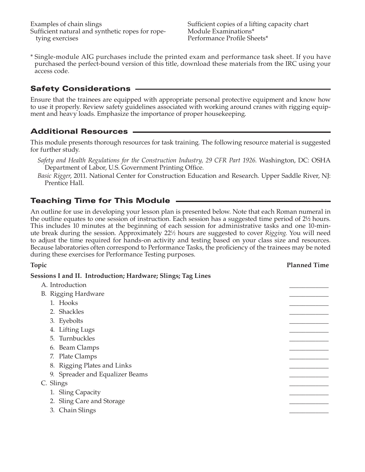Examples of chain slings Sufficient natural and synthetic ropes for ropetying exercises

Sufficient copies of a lifting capacity chart Module Examinations\* Performance Profile Sheets\*

\* Single-module AIG purchases include the printed exam and performance task sheet. If you have purchased the perfect-bound version of this title, download these materials from the IRC using your access code.

## Safety Considerations

Ensure that the trainees are equipped with appropriate personal protective equipment and know how to use it properly. Review safety guidelines associated with working around cranes with rigging equipment and heavy loads. Emphasize the importance of proper housekeeping.

## Additional Resources

This module presents thorough resources for task training. The following resource material is suggested for further study.

*Safety and Health Regulations for the Construction Industry, 29 CFR Part 1926*. Washington, DC: OSHA Department of Labor, U.S. Government Printing Office.

*Basic Rigger*, 2011. National Center for Construction Education and Research. Upper Saddle River, NJ: Prentice Hall.

## Teaching Time for This Module

An outline for use in developing your lesson plan is presented below. Note that each Roman numeral in the outline equates to one session of instruction. Each session has a suggested time period of 2½ hours. This includes 10 minutes at the beginning of each session for administrative tasks and one 10-minute break during the session. Approximately 221 ⁄2 hours are suggested to cover *Rigging*. You will need to adjust the time required for hands-on activity and testing based on your class size and resources. Because laboratories often correspond to Performance Tasks, the proficiency of the trainees may be noted during these exercises for Performance Testing purposes.

| Topic                                                        | <b>Planned Time</b> |
|--------------------------------------------------------------|---------------------|
| Sessions I and II. Introduction; Hardware; Slings; Tag Lines |                     |
| A. Introduction                                              |                     |
| B. Rigging Hardware                                          |                     |
| 1. Hooks                                                     |                     |
| 2. Shackles                                                  |                     |
| 3. Eyebolts                                                  |                     |
| 4. Lifting Lugs                                              |                     |
| 5. Turnbuckles                                               |                     |
| 6. Beam Clamps                                               |                     |
| 7. Plate Clamps                                              |                     |
| 8. Rigging Plates and Links                                  |                     |
| 9. Spreader and Equalizer Beams                              |                     |
| C. Slings                                                    |                     |
|                                                              |                     |
| 1. Sling Capacity                                            |                     |
| 2. Sling Care and Storage                                    |                     |
| 3. Chain Slings                                              |                     |
|                                                              |                     |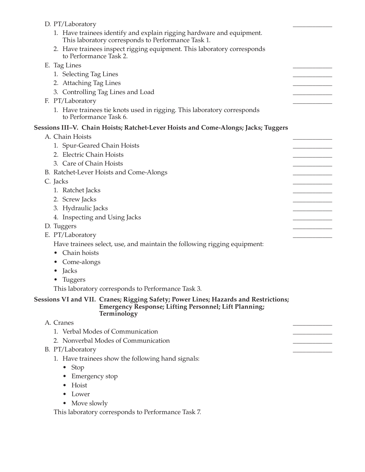| D. PT/Laboratory                                                                                                                                                    |  |
|---------------------------------------------------------------------------------------------------------------------------------------------------------------------|--|
| 1. Have trainees identify and explain rigging hardware and equipment.<br>This laboratory corresponds to Performance Task 1.                                         |  |
| 2. Have trainees inspect rigging equipment. This laboratory corresponds<br>to Performance Task 2.                                                                   |  |
| E. Tag Lines                                                                                                                                                        |  |
| 1. Selecting Tag Lines                                                                                                                                              |  |
| 2. Attaching Tag Lines                                                                                                                                              |  |
| 3. Controlling Tag Lines and Load                                                                                                                                   |  |
| F. PT/Laboratory                                                                                                                                                    |  |
| 1. Have trainees tie knots used in rigging. This laboratory corresponds<br>to Performance Task 6.                                                                   |  |
| Sessions III-V. Chain Hoists; Ratchet-Lever Hoists and Come-Alongs; Jacks; Tuggers                                                                                  |  |
| A. Chain Hoists                                                                                                                                                     |  |
| 1. Spur-Geared Chain Hoists                                                                                                                                         |  |
| 2. Electric Chain Hoists                                                                                                                                            |  |
| 3. Care of Chain Hoists                                                                                                                                             |  |
| B. Ratchet-Lever Hoists and Come-Alongs                                                                                                                             |  |
| C. Jacks                                                                                                                                                            |  |
| 1. Ratchet Jacks                                                                                                                                                    |  |
| 2. Screw Jacks                                                                                                                                                      |  |
| 3. Hydraulic Jacks                                                                                                                                                  |  |
| 4. Inspecting and Using Jacks                                                                                                                                       |  |
| D. Tuggers                                                                                                                                                          |  |
| E. PT/Laboratory                                                                                                                                                    |  |
| Have trainees select, use, and maintain the following rigging equipment:                                                                                            |  |
| Chain hoists                                                                                                                                                        |  |
| • Come-alongs                                                                                                                                                       |  |
| Jacks                                                                                                                                                               |  |
| Tuggers                                                                                                                                                             |  |
| This laboratory corresponds to Performance Task 3.                                                                                                                  |  |
| Sessions VI and VII.  Cranes; Rigging Safety; Power Lines; Hazards and Restrictions;<br><b>Emergency Response; Lifting Personnel; Lift Planning;</b><br>Terminology |  |
| A. Cranes                                                                                                                                                           |  |
| 1. Verbal Modes of Communication                                                                                                                                    |  |
| 2. Nonverbal Modes of Communication                                                                                                                                 |  |
| B. PT/Laboratory                                                                                                                                                    |  |
| 1. Have trainees show the following hand signals:                                                                                                                   |  |
| Stop<br>$\bullet$                                                                                                                                                   |  |
| Emergency stop                                                                                                                                                      |  |
| Hoist                                                                                                                                                               |  |
| Lower<br>$\bullet$                                                                                                                                                  |  |
| • Move slowly                                                                                                                                                       |  |
| This laboratory corresponds to Performance Task 7.                                                                                                                  |  |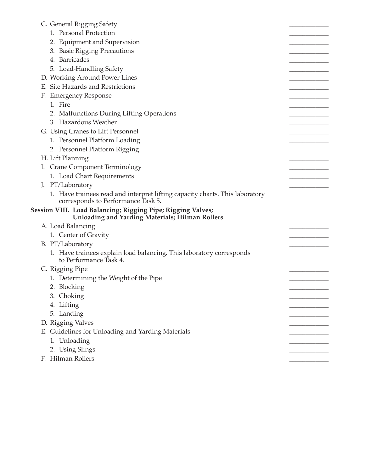| C. General Rigging Safety                                                                                             |  |
|-----------------------------------------------------------------------------------------------------------------------|--|
| 1. Personal Protection                                                                                                |  |
| 2. Equipment and Supervision                                                                                          |  |
| 3. Basic Rigging Precautions                                                                                          |  |
| 4. Barricades                                                                                                         |  |
| 5. Load-Handling Safety                                                                                               |  |
| D. Working Around Power Lines                                                                                         |  |
| E. Site Hazards and Restrictions                                                                                      |  |
| F. Emergency Response                                                                                                 |  |
| 1. Fire                                                                                                               |  |
| 2. Malfunctions During Lifting Operations                                                                             |  |
| 3. Hazardous Weather                                                                                                  |  |
| G. Using Cranes to Lift Personnel                                                                                     |  |
| 1. Personnel Platform Loading                                                                                         |  |
| 2. Personnel Platform Rigging                                                                                         |  |
| H. Lift Planning                                                                                                      |  |
| I. Crane Component Terminology                                                                                        |  |
| 1. Load Chart Requirements                                                                                            |  |
| J. PT/Laboratory                                                                                                      |  |
| 1. Have trainees read and interpret lifting capacity charts. This laboratory<br>corresponds to Performance Task 5.    |  |
| Session VIII. Load Balancing; Rigging Pipe; Rigging Valves;<br><b>Unloading and Yarding Materials; Hilman Rollers</b> |  |
| A. Load Balancing                                                                                                     |  |
| 1. Center of Gravity                                                                                                  |  |
| B. PT/Laboratory                                                                                                      |  |
| 1. Have trainees explain load balancing. This laboratory corresponds<br>to Performance Task 4.                        |  |
| C. Rigging Pipe                                                                                                       |  |
| 1. Determining the Weight of the Pipe                                                                                 |  |
| 2. Blocking                                                                                                           |  |
| 3. Choking                                                                                                            |  |
| 4. Lifting                                                                                                            |  |
| 5. Landing                                                                                                            |  |
| D. Rigging Valves                                                                                                     |  |
| E. Guidelines for Unloading and Yarding Materials                                                                     |  |
| 1. Unloading                                                                                                          |  |
| 2. Using Slings                                                                                                       |  |
| F. Hilman Rollers                                                                                                     |  |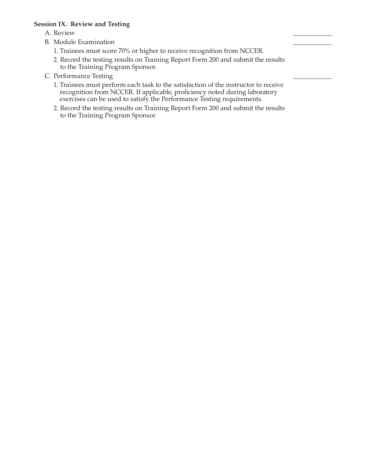#### **Session IX. Review and Testing**

- A. Review \_\_\_\_\_\_\_\_\_\_\_\_
- B. Module Examination
	- 1. Trainees must score 70% or higher to receive recognition from NCCER.
	- 2. Record the testing results on Training Report Form 200 and submit the results to the Training Program Sponsor.
- C. Performance Testing
	- 1. Trainees must perform each task to the satisfaction of the instructor to receive recognition from NCCER. If applicable, proficiency noted during laboratory exercises can be used to satisfy the Performance Testing requirements.
	- 2. Record the testing results on Training Report Form 200 and submit the results to the Training Program Sponsor.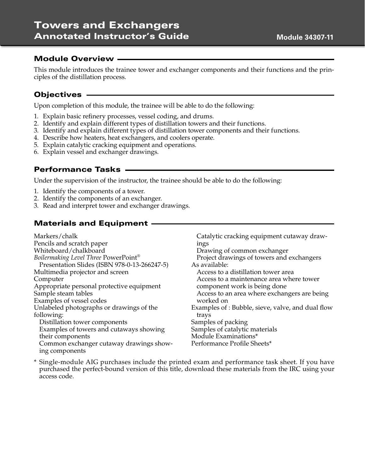#### Module Overview

This module introduces the trainee tower and exchanger components and their functions and the principles of the distillation process.

## Objectives

Upon completion of this module, the trainee will be able to do the following:

- 1. Explain basic refinery processes, vessel coding, and drums.
- 2. Identify and explain different types of distillation towers and their functions.
- 3. Identify and explain different types of distillation tower components and their functions.
- 4. Describe how heaters, heat exchangers, and coolers operate.
- 5. Explain catalytic cracking equipment and operations.
- 6. Explain vessel and exchanger drawings.

## Performance Tasks

Under the supervision of the instructor, the trainee should be able to do the following:

- 1. Identify the components of a tower.
- 2. Identify the components of an exchanger.
- 3. Read and interpret tower and exchanger drawings.

## Materials and Equipment

Markers/chalk Pencils and scratch paper Whiteboard/chalkboard *Boilermaking Level Three* PowerPoint® Presentation Slides (ISBN 978-0-13-266247-5) Multimedia projector and screen Computer Appropriate personal protective equipment Sample steam tables Examples of vessel codes Unlabeled photographs or drawings of the following: Distillation tower components Examples of towers and cutaways showing their components Common exchanger cutaway drawings showing components

Catalytic cracking equipment cutaway drawings Drawing of common exchanger Project drawings of towers and exchangers As available: Access to a distillation tower area Access to a maintenance area where tower component work is being done Access to an area where exchangers are being worked on Examples of : Bubble, sieve, valve, and dual flow trays Samples of packing Samples of catalytic materials Module Examinations\* Performance Profile Sheets\*

\* Single-module AIG purchases include the printed exam and performance task sheet. If you have purchased the perfect-bound version of this title, download these materials from the IRC using your access code.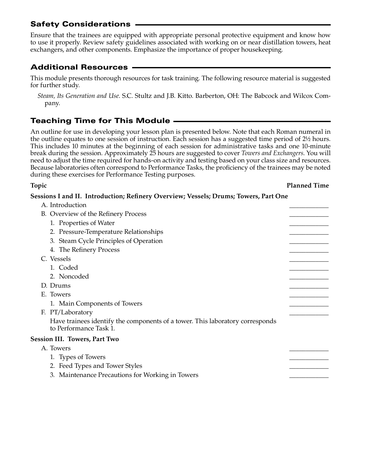## Safety Considerations

Ensure that the trainees are equipped with appropriate personal protective equipment and know how to use it properly. Review safety guidelines associated with working on or near distillation towers, heat exchangers, and other components. Emphasize the importance of proper housekeeping.

# Additional Resources

This module presents thorough resources for task training. The following resource material is suggested for further study.

*Steam, Its Generation and Use*. S.C. Stultz and J.B. Kitto. Barberton, OH: The Babcock and Wilcox Company.

## Teaching Time for This Module

An outline for use in developing your lesson plan is presented below. Note that each Roman numeral in the outline equates to one session of instruction. Each session has a suggested time period of 2½ hours. This includes 10 minutes at the beginning of each session for administrative tasks and one 10-minute break during the session. Approximately 25 hours are suggested to cover *Towers and Exchangers*. You will need to adjust the time required for hands-on activity and testing based on your class size and resources. Because laboratories often correspond to Performance Tasks, the proficiency of the trainees may be noted during these exercises for Performance Testing purposes.

**Topic Planned Time**

# **Sessions I and II. Introduction; Refinery Overview; Vessels; Drums; Towers, Part One**

A. Introduction

| B. Overview of the Refinery Process                                                                     |  |
|---------------------------------------------------------------------------------------------------------|--|
| 1. Properties of Water                                                                                  |  |
| 2. Pressure-Temperature Relationships                                                                   |  |
| 3. Steam Cycle Principles of Operation                                                                  |  |
| 4. The Refinery Process                                                                                 |  |
| C. Vessels                                                                                              |  |
| 1. Coded                                                                                                |  |
| 2. Noncoded                                                                                             |  |
| D. Drums                                                                                                |  |
| E. Towers                                                                                               |  |
| 1. Main Components of Towers                                                                            |  |
| F. PT/Laboratory                                                                                        |  |
| Have trainees identify the components of a tower. This laboratory corresponds<br>to Performance Task 1. |  |
| <b>Session III. Towers, Part Two</b>                                                                    |  |
| A. Towers                                                                                               |  |
| 1. Types of Towers                                                                                      |  |
| 2. Feed Types and Tower Styles                                                                          |  |
| 3. Maintenance Precautions for Working in Towers                                                        |  |
|                                                                                                         |  |